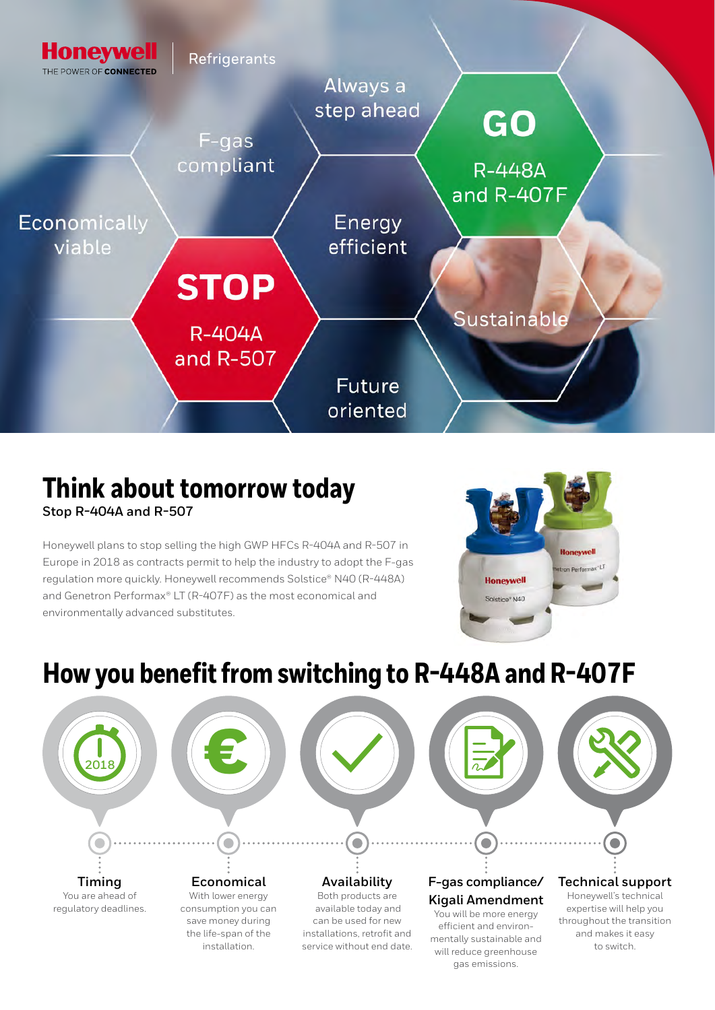

#### **Think about tomorrow today Stop R-404A and R-507**

Honeywell plans to stop selling the high GWP HFCs R-404A and R-507 in Europe in 2018 as contracts permit to help the industry to adopt the F-gas regulation more quickly. Honeywell recommends Solstice® N40 (R-448A) and Genetron Performax® LT (R-407F) as the most economical and environmentally advanced substitutes.



# **How you benefit from switching to R-448A and R-407F**